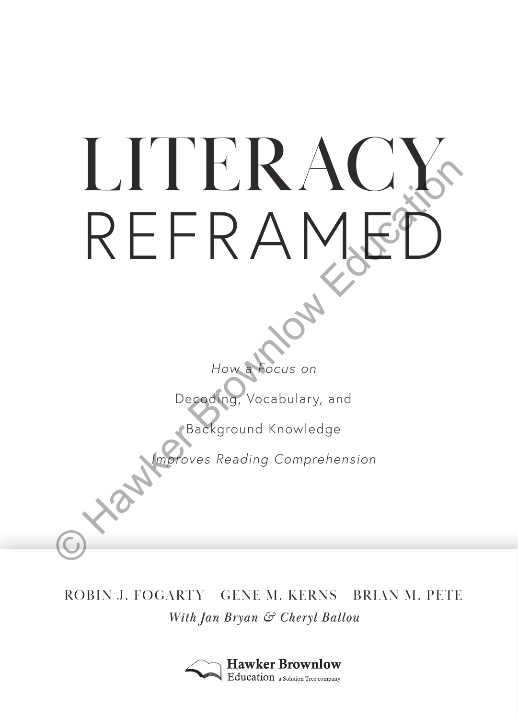

## ROBIN J. FOGARTY GENE M. KERNS BRIAN M. PETE *With Jan Bryan & Cheryl Ballou*

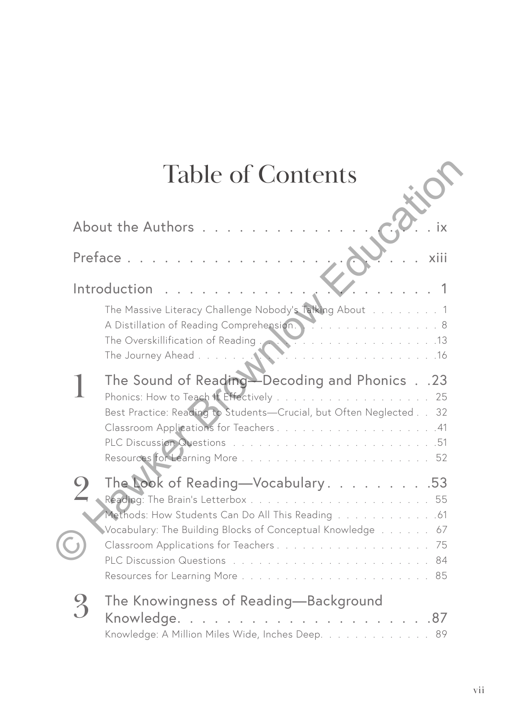# Table of Contents

| <b>Table of Contents</b>                                                                                                                                                                                                    |
|-----------------------------------------------------------------------------------------------------------------------------------------------------------------------------------------------------------------------------|
| About the Authors                                                                                                                                                                                                           |
| Preface<br>xiii                                                                                                                                                                                                             |
| Introduction                                                                                                                                                                                                                |
| The Massive Literacy Challenge Nobody's Talking About 1<br>A Distillation of Reading Comprehension. 8<br>The Overskillification of Reading<br>The Overskillification of Reading<br>2020 - 2021<br>The Journey Ahead<br>. 16 |
| The Sound of Reading-Decoding and Phonics 23<br>Best Practice: Reading to Students-Crucial, but Often Neglected 32<br>Classroom Applications for Teachers41                                                                 |
| The Look of Reading-Vocabulary. 53<br>Methods: How Students Can Do All This Reading 61<br>Vocabulary: The Building Blocks of Conceptual Knowledge 67                                                                        |
| The Knowingness of Reading—Background<br>Knowledge<br>. 87<br>Knowledge: A Million Miles Wide, Inches Deep. 89                                                                                                              |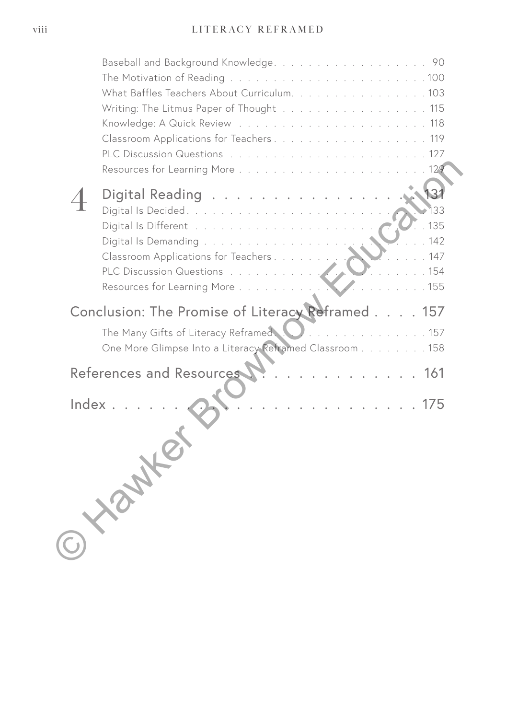## viii LITERACY REFRAMED

|       | What Baffles Teachers About Curriculum. 103                             |  |
|-------|-------------------------------------------------------------------------|--|
|       | Writing: The Litmus Paper of Thought 115                                |  |
|       |                                                                         |  |
|       | Classroom Applications for Teachers119                                  |  |
|       |                                                                         |  |
|       |                                                                         |  |
|       |                                                                         |  |
|       | Digital Reading                                                         |  |
|       | 135                                                                     |  |
|       | 142                                                                     |  |
|       | Digital Is Demanding<br>147                                             |  |
|       | Classroom Applications for Teachers<br>.154<br>PLC Discussion Questions |  |
|       | .155<br>Resources for Learning More                                     |  |
|       |                                                                         |  |
|       | Conclusion: The Promise of Literacy Reframed.<br>157                    |  |
|       | The Many Gifts of Literacy Reframed.<br>. 157                           |  |
|       | One More Glimpse Into a Literacy Reframed Classroom 158                 |  |
|       |                                                                         |  |
|       | References and Resources<br>. 161                                       |  |
|       |                                                                         |  |
| Index | 175                                                                     |  |
|       |                                                                         |  |
|       |                                                                         |  |
|       |                                                                         |  |
|       |                                                                         |  |
|       |                                                                         |  |
|       |                                                                         |  |
|       |                                                                         |  |
|       |                                                                         |  |
|       |                                                                         |  |
|       |                                                                         |  |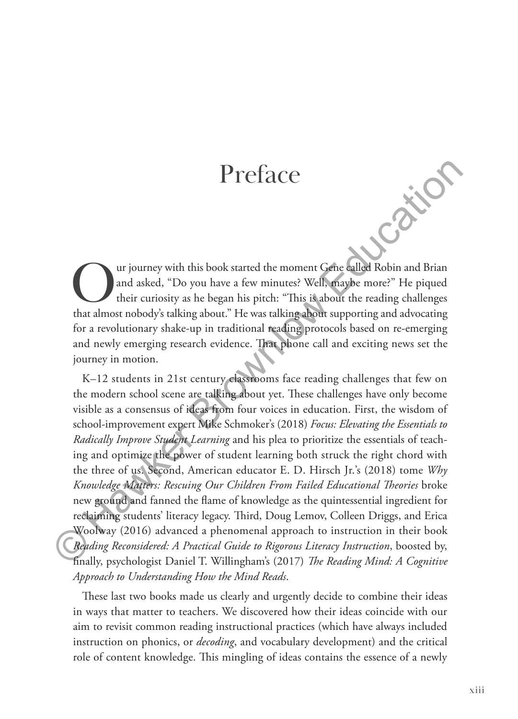## Preface

ur journey with this book started the moment Gene called Robin and Brian and asked, "Do you have a few minutes? Well, maybe more?" He piqued their curiosity as he began his pitch: "This is about the reading challenges that almost nobody's talking about." He was talking about supporting and advocating for a revolutionary shake-up in traditional reading protocols based on re-emerging and newly emerging research evidence. That phone call and exciting news set the journey in motion.

K–12 students in 21st century classrooms face reading challenges that few on the modern school scene are talking about yet. These challenges have only become visible as a consensus of ideas from four voices in education. First, the wisdom of school-improvement expert Mike Schmoker's (2018) *Focus: Elevating the Essentials to Radically Improve Student Learning* and his plea to prioritize the essentials of teaching and optimize the power of student learning both struck the right chord with the three of us. Second, American educator E. D. Hirsch Jr.'s (2018) tome *Why Knowledge Matters: Rescuing Our Children From Failed Educational Theories* broke new ground and fanned the flame of knowledge as the quintessential ingredient for reclaiming students' literacy legacy. Third, Doug Lemov, Colleen Driggs, and Erica Woolway (2016) advanced a phenomenal approach to instruction in their book *Reading Reconsidered: A Practical Guide to Rigorous Literacy Instruction*, boosted by, finally, psychologist Daniel T. Willingham's (2017) *The Reading Mind: A Cognitive Approach to Understanding How the Mind Reads*. **Preface**<br> **Constant Configuration**<br> **Constant Configuration**<br> **Constant Configuration**<br> **Constant Amos and asked,** "Do you have a few minutes? Well, may<br>be more?" He piqued that almost nobody's talking about." He was tal

These last two books made us clearly and urgently decide to combine their ideas in ways that matter to teachers. We discovered how their ideas coincide with our aim to revisit common reading instructional practices (which have always included instruction on phonics, or *decoding*, and vocabulary development) and the critical role of content knowledge. This mingling of ideas contains the essence of a newly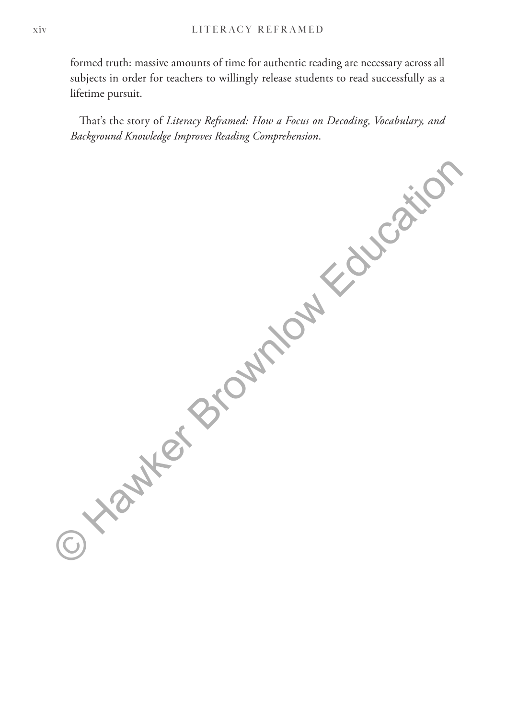formed truth: massive amounts of time for authentic reading are necessary across all subjects in order for teachers to willingly release students to read successfully as a lifetime pursuit.

That's the story of *Literacy Reframed: How a Focus on Decoding, Vocabulary, and Background Knowledge Improves Reading Comprehension*.

© Xiawker Brownlow Education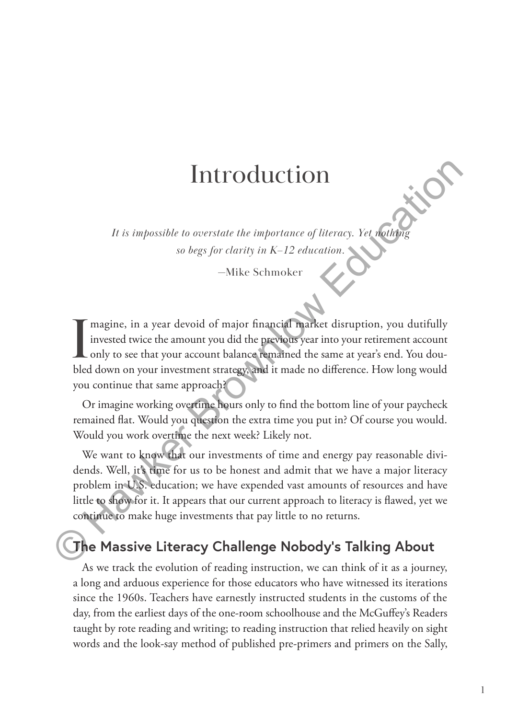## Introduction

*It is impossible to overstate the importance of literacy. Yet nothing so begs for clarity in K–12 education.*

—Mike Schmoker

I magine, in a year devoid of major financial market disruption, you dutifully invested twice the amount you did the previous year into your retirement account only to see that your account balance remained the same at yea magine, in a year devoid of major financial market disruption, you dutifully invested twice the amount you did the previous year into your retirement account only to see that your account balance remained the same at year's end. You douyou continue that same approach? Introduction<br>
It is impossible to overstate the importance of literacy. Yet withing<br>
so begs for clarity in  $K-12$  education.<br>
So begs for clarity in  $K-12$  education.<br>
This eschmoler<br>  $\blacksquare$ <br>
Tragine, in a year devoid of

Or imagine working overtime hours only to find the bottom line of your paycheck remained flat. Would you question the extra time you put in? Of course you would. Would you work overtime the next week? Likely not.

We want to know that our investments of time and energy pay reasonable dividends. Well, it's time for us to be honest and admit that we have a major literacy problem in U.S. education; we have expended vast amounts of resources and have little to show for it. It appears that our current approach to literacy is flawed, yet we continue to make huge investments that pay little to no returns.

## **The Massive Literacy Challenge Nobody's Talking About**

As we track the evolution of reading instruction, we can think of it as a journey, a long and arduous experience for those educators who have witnessed its iterations since the 1960s. Teachers have earnestly instructed students in the customs of the day, from the earliest days of the one-room schoolhouse and the McGuffey's Readers taught by rote reading and writing; to reading instruction that relied heavily on sight words and the look-say method of published pre-primers and primers on the Sally,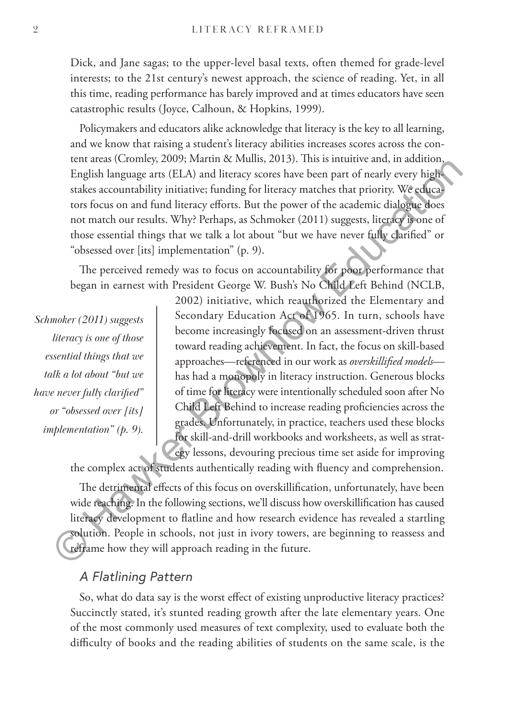Dick, and Jane sagas; to the upper-level basal texts, often themed for grade-level interests; to the 21st century's newest approach, the science of reading. Yet, in all this time, reading performance has barely improved and at times educators have seen catastrophic results (Joyce, Calhoun, & Hopkins, 1999).

Policymakers and educators alike acknowledge that literacy is the key to all learning, and we know that raising a student's literacy abilities increases scores across the content areas (Cromley, 2009; Martin & Mullis, 2013). This is intuitive and, in addition, English language arts (ELA) and literacy scores have been part of nearly every highstakes accountability initiative; funding for literacy matches that priority. We educators focus on and fund literacy efforts. But the power of the academic dialogue does not match our results. Why? Perhaps, as Schmoker (2011) suggests, literacy is one of those essential things that we talk a lot about "but we have never fully clarified" or "obsessed over [its] implementation" (p. 9).

The perceived remedy was to focus on accountability for poor performance that began in earnest with President George W. Bush's No Child Left Behind (NCLB,

*Schmoker (2011) suggests literacy is one of those essential things that we talk a lot about "but we have never fully clarified" or "obsessed over [its] implementation" (p. 9).*

2002) initiative, which reauthorized the Elementary and Secondary Education Act of 1965. In turn, schools have become increasingly focused on an assessment-driven thrust toward reading achievement. In fact, the focus on skill-based approaches—referenced in our work as *overskillified models* has had a monopoly in literacy instruction. Generous blocks of time for literacy were intentionally scheduled soon after No Child Left Behind to increase reading proficiencies across the grades. Unfortunately, in practice, teachers used these blocks for skill-and-drill workbooks and worksheets, as well as strategy lessons, devouring precious time set aside for improving English language arts (EHA) and literary scores have been part of early every higher<br>English language arts (EHA) and literary scores have been part of nearly every higher<br>stakes accountability initiative; funding for lite

the complex act of students authentically reading with fluency and comprehension.

The detrimental effects of this focus on overskillification, unfortunately, have been wide reaching. In the following sections, we'll discuss how overskillification has caused literacy development to flatline and how research evidence has revealed a startling solution. People in schools, not just in ivory towers, are beginning to reassess and reframe how they will approach reading in the future.

### *A Flatlining Pattern*

So, what do data say is the worst effect of existing unproductive literacy practices? Succinctly stated, it's stunted reading growth after the late elementary years. One of the most commonly used measures of text complexity, used to evaluate both the difficulty of books and the reading abilities of students on the same scale, is the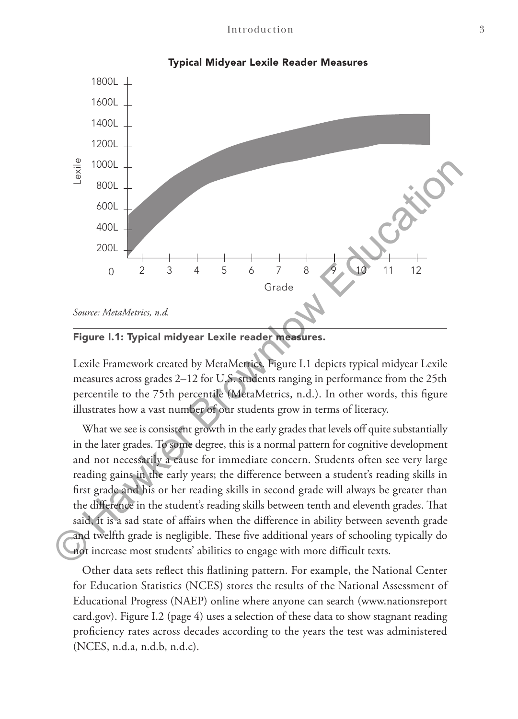

#### Typical Midyear Lexile Reader Measures

### Figure I.1: Typical midyear Lexile reader measures.

Lexile Framework created by MetaMetrics. Figure I.1 depicts typical midyear Lexile measures across grades 2–12 for U.S. students ranging in performance from the 25th percentile to the 75th percentile (MetaMetrics, n.d.). In other words, this figure illustrates how a vast number of our students grow in terms of literacy.

What we see is consistent growth in the early grades that levels off quite substantially in the later grades. To some degree, this is a normal pattern for cognitive development and not necessarily a cause for immediate concern. Students often see very large reading gains in the early years; the difference between a student's reading skills in first grade and his or her reading skills in second grade will always be greater than the difference in the student's reading skills between tenth and eleventh grades. That said, it is a sad state of affairs when the difference in ability between seventh grade and twelfth grade is negligible. These five additional years of schooling typically do not increase most students' abilities to engage with more difficult texts.

Other data sets reflect this flatlining pattern. For example, the National Center for Education Statistics (NCES) stores the results of the National Assessment of Educational Progress (NAEP) online where anyone can search (www.nationsreport card.gov). Figure I.2 (page 4) uses a selection of these data to show stagnant reading proficiency rates across decades according to the years the test was administered  $(NCES, n.d.a, n.d.b, n.d.c)$ .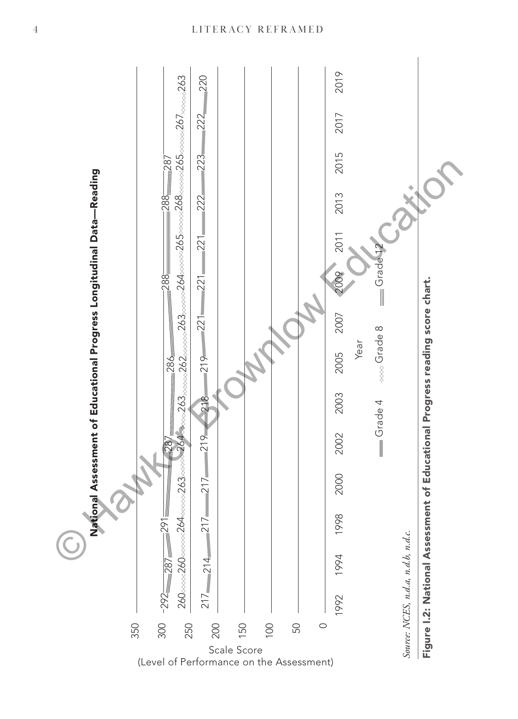